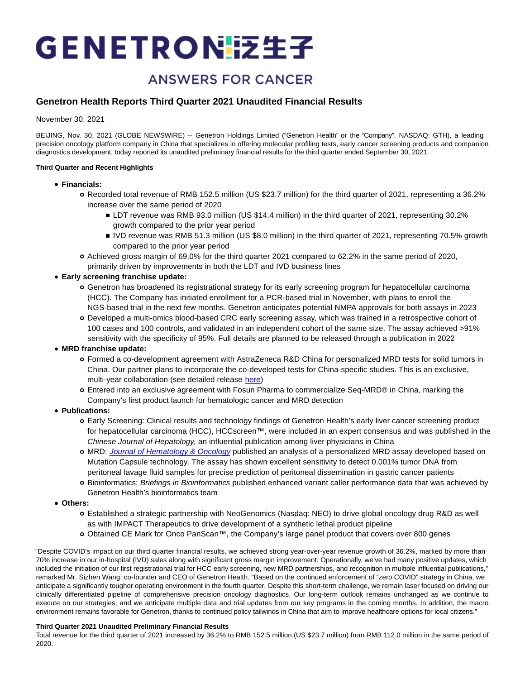# GENETRONI泛生子

# **ANSWERS FOR CANCER**

# **Genetron Health Reports Third Quarter 2021 Unaudited Financial Results**

November 30, 2021

BEIJING, Nov. 30, 2021 (GLOBE NEWSWIRE) -- Genetron Holdings Limited ("Genetron Health" or the "Company", NASDAQ: GTH), a leading precision oncology platform company in China that specializes in offering molecular profiling tests, early cancer screening products and companion diagnostics development, today reported its unaudited preliminary financial results for the third quarter ended September 30, 2021.

## **Third Quarter and Recent Highlights**

- **Financials:**
	- Recorded total revenue of RMB 152.5 million (US \$23.7 million) for the third quarter of 2021, representing a 36.2% increase over the same period of 2020
		- LDT revenue was RMB 93.0 million (US \$14.4 million) in the third quarter of 2021, representing 30.2% growth compared to the prior year period
		- IVD revenue was RMB 51.3 million (US \$8.0 million) in the third quarter of 2021, representing 70.5% growth compared to the prior year period
	- Achieved gross margin of 69.0% for the third quarter 2021 compared to 62.2% in the same period of 2020, primarily driven by improvements in both the LDT and IVD business lines
- **Early screening franchise update:**
	- Genetron has broadened its registrational strategy for its early screening program for hepatocellular carcinoma (HCC). The Company has initiated enrollment for a PCR-based trial in November, with plans to enroll the NGS-based trial in the next few months. Genetron anticipates potential NMPA approvals for both assays in 2023
	- Developed a multi-omics blood-based CRC early screening assay, which was trained in a retrospective cohort of 100 cases and 100 controls, and validated in an independent cohort of the same size. The assay achieved >91% sensitivity with the specificity of 95%. Full details are planned to be released through a publication in 2022
- **MRD franchise update:**
	- Formed a co-development agreement with AstraZeneca R&D China for personalized MRD tests for solid tumors in China. Our partner plans to incorporate the co-developed tests for China-specific studies. This is an exclusive, multi-year collaboration (see detailed release [here\)](https://ir.genetronhealth.com/news-releases/news-release-details/genetron-health-announces-co-development-agreement-astrazeneca)
	- Entered into an exclusive agreement with Fosun Pharma to commercialize Seq-MRD® in China, marking the Company's first product launch for hematologic cancer and MRD detection
- **Publications:**
	- Early Screening: Clinical results and technology findings of Genetron Health's early liver cancer screening product for hepatocellular carcinoma (HCC), HCCscreen™, were included in an expert consensus and was published in the Chinese Journal of Hepatology, an influential publication among liver physicians in China
	- o MRD: [Journal of Hematology & Oncology](https://jhoonline.biomedcentral.com/) published an analysis of a personalized MRD assay developed based on Mutation Capsule technology. The assay has shown excellent sensitivity to detect 0.001% tumor DNA from peritoneal lavage fluid samples for precise prediction of peritoneal dissemination in gastric cancer patients
	- o Bioinformatics: Briefings in Bioinformatics published enhanced variant caller performance data that was achieved by Genetron Health's bioinformatics team
- **Others:**
	- Established a strategic partnership with NeoGenomics (Nasdaq: NEO) to drive global oncology drug R&D as well as with IMPACT Therapeutics to drive development of a synthetic lethal product pipeline
	- Obtained CE Mark for Onco PanScan™, the Company's large panel product that covers over 800 genes

"Despite COVID's impact on our third quarter financial results, we achieved strong year-over-year revenue growth of 36.2%, marked by more than 70% increase in our in-hospital (IVD) sales along with significant gross margin improvement. Operationally, we've had many positive updates, which included the initiation of our first registrational trial for HCC early screening, new MRD partnerships, and recognition in multiple influential publications," remarked Mr. Sizhen Wang, co-founder and CEO of Genetron Health. "Based on the continued enforcement of "zero COVID" strategy in China, we anticipate a significantly tougher operating environment in the fourth quarter. Despite this short-term challenge, we remain laser focused on driving our clinically differentiated pipeline of comprehensive precision oncology diagnostics. Our long-term outlook remains unchanged as we continue to execute on our strategies, and we anticipate multiple data and trial updates from our key programs in the coming months. In addition, the macro environment remains favorable for Genetron, thanks to continued policy tailwinds in China that aim to improve healthcare options for local citizens."

## **Third Quarter 2021 Unaudited Preliminary Financial Results**

Total revenue for the third quarter of 2021 increased by 36.2% to RMB 152.5 million (US \$23.7 million) from RMB 112.0 million in the same period of 2020.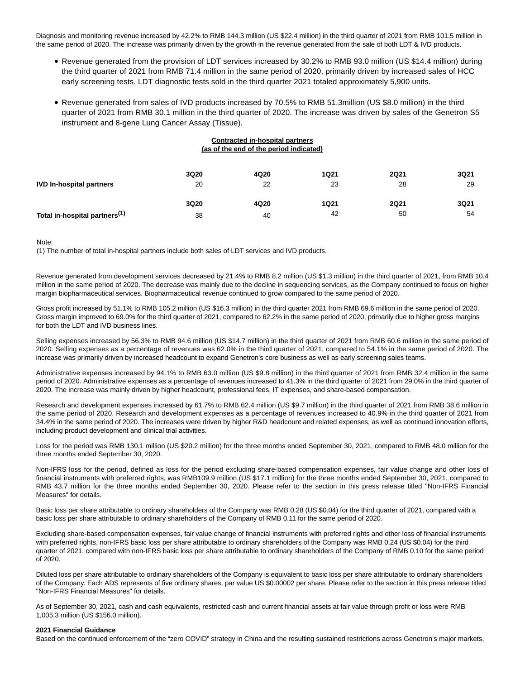Diagnosis and monitoring revenue increased by 42.2% to RMB 144.3 million (US \$22.4 million) in the third quarter of 2021 from RMB 101.5 million in the same period of 2020. The increase was primarily driven by the growth in the revenue generated from the sale of both LDT & IVD products.

- Revenue generated from the provision of LDT services increased by 30.2% to RMB 93.0 million (US \$14.4 million) during the third quarter of 2021 from RMB 71.4 million in the same period of 2020, primarily driven by increased sales of HCC early screening tests. LDT diagnostic tests sold in the third quarter 2021 totaled approximately 5,900 units.
- Revenue generated from sales of IVD products increased by 70.5% to RMB 51.3million (US \$8.0 million) in the third quarter of 2021 from RMB 30.1 million in the third quarter of 2020. The increase was driven by sales of the Genetron S5 instrument and 8-gene Lung Cancer Assay (Tissue).

| <b>Contracted in-hospital partners</b><br>(as of the end of the period indicated) |      |      |             |             |      |
|-----------------------------------------------------------------------------------|------|------|-------------|-------------|------|
|                                                                                   | 3Q20 | 4Q20 | <b>1Q21</b> | <b>2Q21</b> | 3Q21 |
| <b>IVD In-hospital partners</b>                                                   | 20   | 22   | 23          | 28          | 29   |
|                                                                                   | 3Q20 | 4Q20 | <b>1Q21</b> | <b>2Q21</b> | 3Q21 |
| Total in-hospital partners <sup>(1)</sup>                                         | 38   | 40   | 42          | 50          | 54   |

## Note:

(1) The number of total in-hospital partners include both sales of LDT services and IVD products.

Revenue generated from development services decreased by 21.4% to RMB 8.2 million (US \$1.3 million) in the third quarter of 2021, from RMB 10.4 million in the same period of 2020. The decrease was mainly due to the decline in sequencing services, as the Company continued to focus on higher margin biopharmaceutical services. Biopharmaceutical revenue continued to grow compared to the same period of 2020.

Gross profit increased by 51.1% to RMB 105.2 million (US \$16.3 million) in the third quarter 2021 from RMB 69.6 million in the same period of 2020. Gross margin improved to 69.0% for the third quarter of 2021, compared to 62.2% in the same period of 2020, primarily due to higher gross margins for both the LDT and IVD business lines.

Selling expenses increased by 56.3% to RMB 94.6 million (US \$14.7 million) in the third quarter of 2021 from RMB 60.6 million in the same period of 2020. Selling expenses as a percentage of revenues was 62.0% in the third quarter of 2021, compared to 54.1% in the same period of 2020. The increase was primarily driven by increased headcount to expand Genetron's core business as well as early screening sales teams.

Administrative expenses increased by 94.1% to RMB 63.0 million (US \$9.8 million) in the third quarter of 2021 from RMB 32.4 million in the same period of 2020. Administrative expenses as a percentage of revenues increased to 41.3% in the third quarter of 2021 from 29.0% in the third quarter of 2020. The increase was mainly driven by higher headcount, professional fees, IT expenses, and share-based compensation.

Research and development expenses increased by 61.7% to RMB 62.4 million (US \$9.7 million) in the third quarter of 2021 from RMB 38.6 million in the same period of 2020. Research and development expenses as a percentage of revenues increased to 40.9% in the third quarter of 2021 from 34.4% in the same period of 2020. The increases were driven by higher R&D headcount and related expenses, as well as continued innovation efforts, including product development and clinical trial activities.

Loss for the period was RMB 130.1 million (US \$20.2 million) for the three months ended September 30, 2021, compared to RMB 48.0 million for the three months ended September 30, 2020.

Non-IFRS loss for the period, defined as loss for the period excluding share-based compensation expenses, fair value change and other loss of financial instruments with preferred rights, was RMB109.9 million (US \$17.1 million) for the three months ended September 30, 2021, compared to RMB 43.7 million for the three months ended September 30, 2020. Please refer to the section in this press release titled "Non-IFRS Financial Measures" for details.

Basic loss per share attributable to ordinary shareholders of the Company was RMB 0.28 (US \$0.04) for the third quarter of 2021, compared with a basic loss per share attributable to ordinary shareholders of the Company of RMB 0.11 for the same period of 2020.

Excluding share-based compensation expenses, fair value change of financial instruments with preferred rights and other loss of financial instruments with preferred rights, non-IFRS basic loss per share attributable to ordinary shareholders of the Company was RMB 0.24 (US \$0.04) for the third quarter of 2021, compared with non-IFRS basic loss per share attributable to ordinary shareholders of the Company of RMB 0.10 for the same period of 2020.

Diluted loss per share attributable to ordinary shareholders of the Company is equivalent to basic loss per share attributable to ordinary shareholders of the Company. Each ADS represents of five ordinary shares, par value US \$0.00002 per share. Please refer to the section in this press release titled "Non-IFRS Financial Measures" for details.

As of September 30, 2021, cash and cash equivalents, restricted cash and current financial assets at fair value through profit or loss were RMB 1,005.3 million (US \$156.0 million).

## **2021 Financial Guidance**

Based on the continued enforcement of the "zero COVID" strategy in China and the resulting sustained restrictions across Genetron's major markets,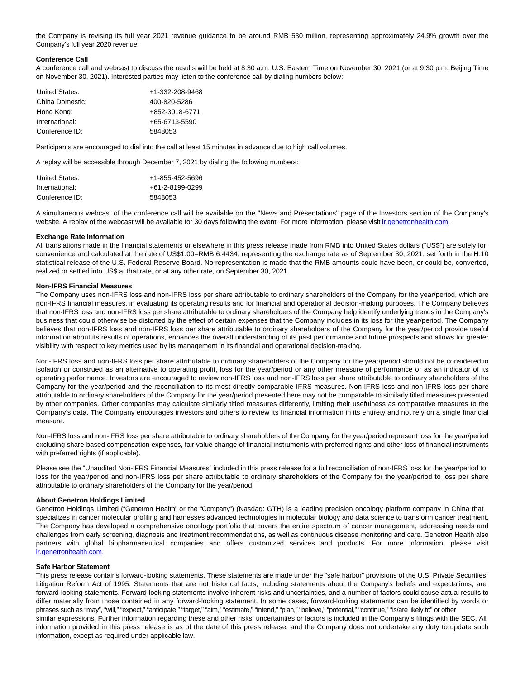the Company is revising its full year 2021 revenue guidance to be around RMB 530 million, representing approximately 24.9% growth over the Company's full year 2020 revenue.

## **Conference Call**

A conference call and webcast to discuss the results will be held at 8:30 a.m. U.S. Eastern Time on November 30, 2021 (or at 9:30 p.m. Beijing Time on November 30, 2021). Interested parties may listen to the conference call by dialing numbers below:

| United States:  | +1-332-208-9468 |
|-----------------|-----------------|
| China Domestic: | 400-820-5286    |
| Hong Kong:      | +852-3018-6771  |
| International:  | +65-6713-5590   |
| Conference ID:  | 5848053         |

Participants are encouraged to dial into the call at least 15 minutes in advance due to high call volumes.

A replay will be accessible through December 7, 2021 by dialing the following numbers:

| United States: | +1-855-452-5696         |
|----------------|-------------------------|
| International: | $+61 - 2 - 8199 - 0299$ |
| Conference ID: | 5848053                 |

A simultaneous webcast of the conference call will be available on the "News and Presentations" page of the Investors section of the Company's website. A replay of the webcast will be available for 30 days following the event. For more information, please visit in genetronhealth.com.

## **Exchange Rate Information**

All translations made in the financial statements or elsewhere in this press release made from RMB into United States dollars ("US\$") are solely for convenience and calculated at the rate of US\$1.00=RMB 6.4434, representing the exchange rate as of September 30, 2021, set forth in the H.10 statistical release of the U.S. Federal Reserve Board. No representation is made that the RMB amounts could have been, or could be, converted, realized or settled into US\$ at that rate, or at any other rate, on September 30, 2021.

## **Non-IFRS Financial Measures**

The Company uses non-IFRS loss and non-IFRS loss per share attributable to ordinary shareholders of the Company for the year/period, which are non-IFRS financial measures, in evaluating its operating results and for financial and operational decision-making purposes. The Company believes that non-IFRS loss and non-IFRS loss per share attributable to ordinary shareholders of the Company help identify underlying trends in the Company's business that could otherwise be distorted by the effect of certain expenses that the Company includes in its loss for the year/period. The Company believes that non-IFRS loss and non-IFRS loss per share attributable to ordinary shareholders of the Company for the year/period provide useful information about its results of operations, enhances the overall understanding of its past performance and future prospects and allows for greater visibility with respect to key metrics used by its management in its financial and operational decision-making.

Non-IFRS loss and non-IFRS loss per share attributable to ordinary shareholders of the Company for the year/period should not be considered in isolation or construed as an alternative to operating profit, loss for the year/period or any other measure of performance or as an indicator of its operating performance. Investors are encouraged to review non-IFRS loss and non-IFRS loss per share attributable to ordinary shareholders of the Company for the year/period and the reconciliation to its most directly comparable IFRS measures. Non-IFRS loss and non-IFRS loss per share attributable to ordinary shareholders of the Company for the year/period presented here may not be comparable to similarly titled measures presented by other companies. Other companies may calculate similarly titled measures differently, limiting their usefulness as comparative measures to the Company's data. The Company encourages investors and others to review its financial information in its entirety and not rely on a single financial measure.

Non-IFRS loss and non-IFRS loss per share attributable to ordinary shareholders of the Company for the year/period represent loss for the year/period excluding share-based compensation expenses, fair value change of financial instruments with preferred rights and other loss of financial instruments with preferred rights (if applicable).

Please see the "Unaudited Non-IFRS Financial Measures" included in this press release for a full reconciliation of non-IFRS loss for the year/period to loss for the year/period and non-IFRS loss per share attributable to ordinary shareholders of the Company for the year/period to loss per share attributable to ordinary shareholders of the Company for the year/period.

## **About Genetron Holdings Limited**

Genetron Holdings Limited ("Genetron Health" or the "Company") (Nasdaq: GTH) is a leading precision oncology platform company in China that specializes in cancer molecular profiling and harnesses advanced technologies in molecular biology and data science to transform cancer treatment. The Company has developed a comprehensive oncology portfolio that covers the entire spectrum of cancer management, addressing needs and challenges from early screening, diagnosis and treatment recommendations, as well as continuous disease monitoring and care. Genetron Health also partners with global biopharmaceutical companies and offers customized services and products. For more information, please visit [ir.genetronhealth.com.](https://www.globenewswire.com/Tracker?data=NQkMkBjjL8lPnaFAONBk0pzi8LDA239Tg-LEKQSu46L5tmutCMmmOKHn7dAkUlRmsRP52S70EsL7SDxbKp6CfDnIGZ8RuaL0ZLQ4LFj5m51Sj9iOE0xLvG64DtW6Z4V_)

## **Safe Harbor Statement**

This press release contains forward-looking statements. These statements are made under the "safe harbor" provisions of the U.S. Private Securities Litigation Reform Act of 1995. Statements that are not historical facts, including statements about the Company's beliefs and expectations, are forward-looking statements. Forward-looking statements involve inherent risks and uncertainties, and a number of factors could cause actual results to differ materially from those contained in any forward-looking statement. In some cases, forward-looking statements can be identified by words or phrases such as "may", "will," "expect," "anticipate," "target," "aim," "estimate," "intend," "plan," "believe," "potential," "continue," "is/are likely to" or other similar expressions. Further information regarding these and other risks, uncertainties or factors is included in the Company's filings with the SEC. All information provided in this press release is as of the date of this press release, and the Company does not undertake any duty to update such information, except as required under applicable law.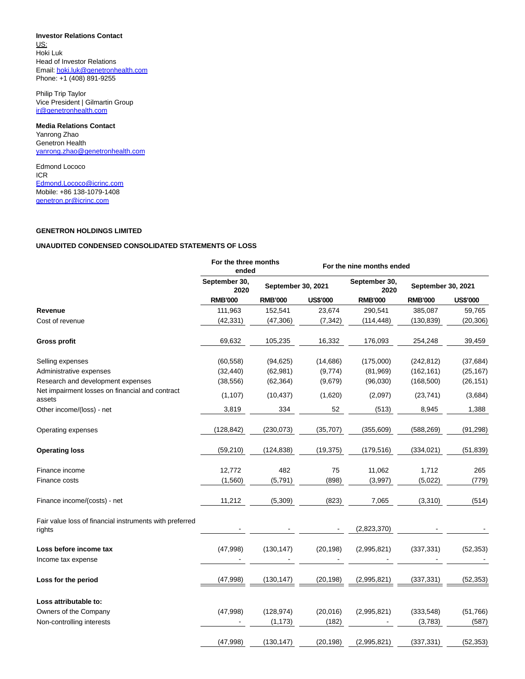# **Investor Relations Contact**

US: Hoki Luk Head of Investor Relations Email[: hoki.luk@genetronhealth.com](https://www.globenewswire.com/Tracker?data=aC_Mn_EhXYIvJkYNUD2RxLgnCBW-4AswMmZeeFsshfdnTmZhbEZ-rgdMi28v6RPBdLSqgbKXXOycq8Zk3VoJd7UJtHKJ_jOsVgDg2LjDPvzgzXKz1pOBSdwCbUvuquAL) Phone: +1 (408) 891-9255

Philip Trip Taylor Vice President | Gilmartin Group [ir@genetronhealth.com](https://www.globenewswire.com/Tracker?data=45PeAnbU9S9sD99PS9fnqRnoGROYb6Bj_zeWu011zS_VGUVG8xYPZLn2FlYhbMyWqhsUcvh2M_kk1qX6pimn6K9cW1Et5YvmLR7R7Omv60s=)

# **Media Relations Contact**

Yanrong Zhao Genetron Health [yanrong.zhao@genetronhealth.com](https://www.globenewswire.com/Tracker?data=ZmvYuCGwNqNhn0dBvpjlbSZTRWzMa5sd7NpKN3twHg7HR_NFXkVlC1VdBKh3xQj4Qcx6j29NpC5PL3kUDSUWYm6M8h77lHYT81TUkO5Rff6EfFdKWXm7MaO3hQ7qCpVs)

Edmond Lococo ICR [Edmond.Lococo@icrinc.com](https://www.globenewswire.com/Tracker?data=b9ncRzvv-4Wfcn3QOnIIfamdfOAOrCGNL23jtOy4OQG88K6OhCdOZrdV668priLjHfpLK3oDn2-epffvqiwtZVOodpwblgR1K5WFPpGpYtA=) Mobile: +86 138-1079-1408 [genetron.pr@icrinc.com](https://www.globenewswire.com/Tracker?data=iFiglYkE-GK33syPNYWBtuYcOGjdZ0o0QA7vyKkhIkUcQcX4s4WwyqCO19sGPbadojona63dEPFA6FfkGY61q5CPwTDmh41psbJXudWEgcI=)

# **GENETRON HOLDINGS LIMITED**

# **UNAUDITED CONDENSED CONSOLIDATED STATEMENTS OF LOSS**

|                                                                   | For the three months<br>ended |                    |                 | For the nine months ended |                    |                 |
|-------------------------------------------------------------------|-------------------------------|--------------------|-----------------|---------------------------|--------------------|-----------------|
|                                                                   | September 30,<br>2020         | September 30, 2021 |                 | September 30,<br>2020     | September 30, 2021 |                 |
|                                                                   | <b>RMB'000</b>                | <b>RMB'000</b>     | <b>US\$'000</b> | <b>RMB'000</b>            | <b>RMB'000</b>     | <b>US\$'000</b> |
| Revenue                                                           | 111,963                       | 152,541            | 23,674          | 290,541                   | 385,087            | 59,765          |
| Cost of revenue                                                   | (42, 331)                     | (47,306)           | (7, 342)        | (114, 448)                | (130, 839)         | (20, 306)       |
| <b>Gross profit</b>                                               | 69,632                        | 105,235            | 16,332          | 176,093                   | 254,248            | 39,459          |
| Selling expenses                                                  | (60, 558)                     | (94, 625)          | (14,686)        | (175,000)                 | (242, 812)         | (37, 684)       |
| Administrative expenses                                           | (32, 440)                     | (62, 981)          | (9,774)         | (81,969)                  | (162, 161)         | (25, 167)       |
| Research and development expenses                                 | (38, 556)                     | (62, 364)          | (9,679)         | (96,030)                  | (168, 500)         | (26, 151)       |
| Net impairment losses on financial and contract<br>assets         | (1, 107)                      | (10, 437)          | (1,620)         | (2,097)                   | (23, 741)          | (3,684)         |
| Other income/(loss) - net                                         | 3,819                         | 334                | 52              | (513)                     | 8,945              | 1,388           |
| Operating expenses                                                | (128, 842)                    | (230,073)          | (35, 707)       | (355, 609)                | (588, 269)         | (91, 298)       |
| <b>Operating loss</b>                                             | (59, 210)                     | (124, 838)         | (19, 375)       | (179, 516)                | (334, 021)         | (51, 839)       |
| Finance income                                                    | 12,772                        | 482                | 75              | 11,062                    | 1,712              | 265             |
| Finance costs                                                     | (1,560)                       | (5,791)            | (898)           | (3,997)                   | (5,022)            | (779)           |
| Finance income/(costs) - net                                      | 11,212                        | (5,309)            | (823)           | 7,065                     | (3,310)            | (514)           |
| Fair value loss of financial instruments with preferred<br>rights |                               |                    |                 | (2,823,370)               |                    |                 |
| Loss before income tax<br>Income tax expense                      | (47,998)                      | (130, 147)         | (20, 198)       | (2,995,821)               | (337, 331)         | (52, 353)       |
| Loss for the period                                               | (47, 998)                     | (130, 147)         | (20, 198)       | (2,995,821)               | (337, 331)         | (52, 353)       |
| Loss attributable to:                                             |                               |                    |                 |                           |                    |                 |
| Owners of the Company                                             | (47,998)                      | (128, 974)         | (20, 016)       | (2,995,821)               | (333, 548)         | (51,766)        |
| Non-controlling interests                                         |                               | (1, 173)           | (182)           |                           | (3,783)            | (587)           |
|                                                                   | (47,998)                      | (130, 147)         | (20, 198)       | (2,995,821)               | (337, 331)         | (52, 353)       |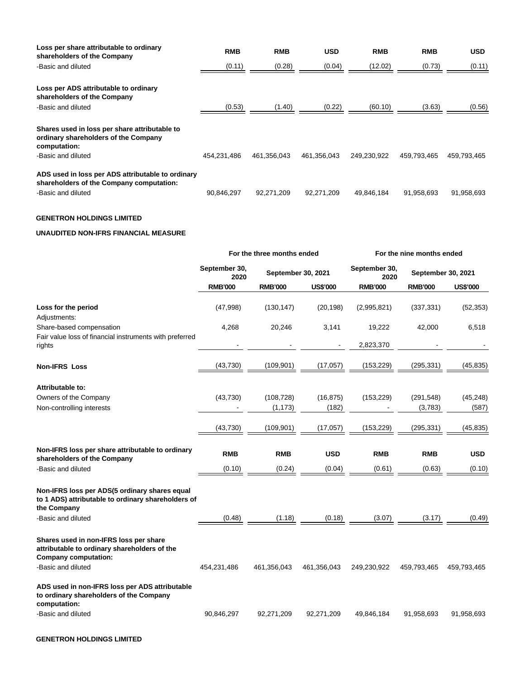| Loss per share attributable to ordinary<br>shareholders of the Company                                | <b>RMB</b>  | <b>RMB</b>  | <b>USD</b>  | <b>RMB</b>  | <b>RMB</b>  | <b>USD</b>  |
|-------------------------------------------------------------------------------------------------------|-------------|-------------|-------------|-------------|-------------|-------------|
| -Basic and diluted                                                                                    | (0.11)      | (0.28)      | (0.04)      | (12.02)     | (0.73)      | (0.11)      |
| Loss per ADS attributable to ordinary<br>shareholders of the Company                                  |             |             |             |             |             |             |
| -Basic and diluted                                                                                    | (0.53)      | (1.40)      | (0.22)      | (60.10)     | (3.63)      | (0.56)      |
| Shares used in loss per share attributable to<br>ordinary shareholders of the Company<br>computation: |             |             |             |             |             |             |
| -Basic and diluted                                                                                    | 454.231.486 | 461.356.043 | 461.356.043 | 249.230.922 | 459.793.465 | 459,793,465 |
| ADS used in loss per ADS attributable to ordinary<br>shareholders of the Company computation:         |             |             |             |             |             |             |
| -Basic and diluted                                                                                    | 90.846.297  | 92.271.209  | 92.271.209  | 49.846.184  | 91.958.693  | 91.958.693  |

# **GENETRON HOLDINGS LIMITED**

## **UNAUDITED NON-IFRS FINANCIAL MEASURE**

|                                                                                                                       | For the three months ended |                |                                             |                | For the nine months ended |                 |  |
|-----------------------------------------------------------------------------------------------------------------------|----------------------------|----------------|---------------------------------------------|----------------|---------------------------|-----------------|--|
|                                                                                                                       | September 30,<br>2020      |                | September 30,<br>September 30, 2021<br>2020 |                | September 30, 2021        |                 |  |
|                                                                                                                       | <b>RMB'000</b>             | <b>RMB'000</b> | <b>US\$'000</b>                             | <b>RMB'000</b> | <b>RMB'000</b>            | <b>US\$'000</b> |  |
| Loss for the period                                                                                                   | (47,998)                   | (130, 147)     | (20, 198)                                   | (2,995,821)    | (337, 331)                | (52, 353)       |  |
| Adjustments:                                                                                                          |                            |                |                                             |                |                           |                 |  |
| Share-based compensation                                                                                              | 4,268                      | 20,246         | 3,141                                       | 19,222         | 42,000                    | 6,518           |  |
| Fair value loss of financial instruments with preferred<br>rights                                                     |                            |                |                                             | 2,823,370      |                           |                 |  |
| <b>Non-IFRS Loss</b>                                                                                                  | (43, 730)                  | (109, 901)     | (17,057)                                    | (153, 229)     | (295, 331)                | (45, 835)       |  |
| Attributable to:                                                                                                      |                            |                |                                             |                |                           |                 |  |
| Owners of the Company                                                                                                 | (43,730)                   | (108, 728)     | (16, 875)                                   | (153, 229)     | (291, 548)                | (45, 248)       |  |
| Non-controlling interests                                                                                             |                            | (1, 173)       | (182)                                       |                | (3,783)                   | (587)           |  |
|                                                                                                                       | (43, 730)                  | (109, 901)     | (17,057)                                    | (153, 229)     | (295, 331)                | (45, 835)       |  |
| Non-IFRS loss per share attributable to ordinary<br>shareholders of the Company                                       | <b>RMB</b>                 | <b>RMB</b>     | <b>USD</b>                                  | <b>RMB</b>     | <b>RMB</b>                | <b>USD</b>      |  |
| -Basic and diluted                                                                                                    | (0.10)                     | (0.24)         | (0.04)                                      | (0.61)         | (0.63)                    | (0.10)          |  |
| Non-IFRS loss per ADS(5 ordinary shares equal<br>to 1 ADS) attributable to ordinary shareholders of<br>the Company    |                            |                |                                             |                |                           |                 |  |
| -Basic and diluted                                                                                                    | (0.48)                     | (1.18)         | (0.18)                                      | (3.07)         | (3.17)                    | (0.49)          |  |
| Shares used in non-IFRS loss per share<br>attributable to ordinary shareholders of the<br><b>Company computation:</b> |                            |                |                                             |                |                           |                 |  |
| -Basic and diluted                                                                                                    | 454,231,486                | 461,356,043    | 461,356,043                                 | 249,230,922    | 459,793,465               | 459,793,465     |  |
| ADS used in non-IFRS loss per ADS attributable<br>to ordinary shareholders of the Company<br>computation:             |                            |                |                                             |                |                           |                 |  |
| -Basic and diluted                                                                                                    | 90,846,297                 | 92,271,209     | 92,271,209                                  | 49,846,184     | 91,958,693                | 91,958,693      |  |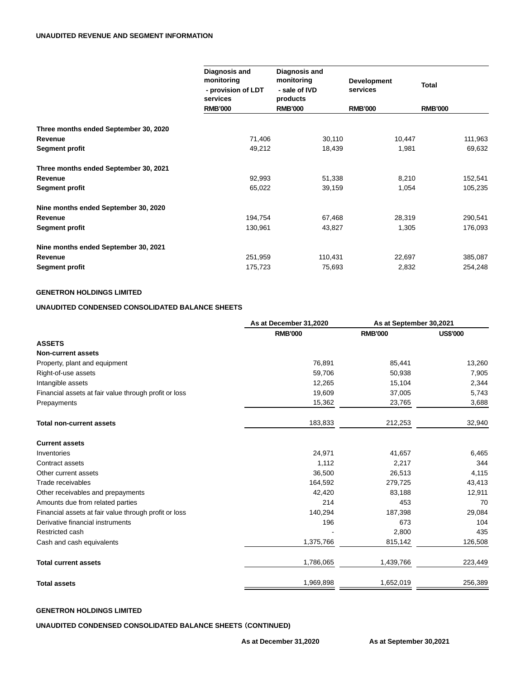|                                       | Diagnosis and<br>monitoring<br>- provision of LDT<br>services | Diagnosis and<br>monitoring<br>- sale of IVD<br>products | <b>Development</b><br>services | <b>Total</b>   |
|---------------------------------------|---------------------------------------------------------------|----------------------------------------------------------|--------------------------------|----------------|
|                                       | <b>RMB'000</b>                                                | <b>RMB'000</b>                                           | <b>RMB'000</b>                 | <b>RMB'000</b> |
| Three months ended September 30, 2020 |                                                               |                                                          |                                |                |
| Revenue                               | 71,406                                                        | 30,110                                                   | 10,447                         | 111,963        |
| Segment profit                        | 49,212                                                        | 18,439                                                   | 1,981                          | 69,632         |
| Three months ended September 30, 2021 |                                                               |                                                          |                                |                |
| Revenue                               | 92,993                                                        | 51,338                                                   | 8,210                          | 152,541        |
| Segment profit                        | 65,022                                                        | 39,159                                                   | 1,054                          | 105,235        |
| Nine months ended September 30, 2020  |                                                               |                                                          |                                |                |
| Revenue                               | 194,754                                                       | 67,468                                                   | 28,319                         | 290,541        |
| Segment profit                        | 130,961                                                       | 43,827                                                   | 1,305                          | 176,093        |
| Nine months ended September 30, 2021  |                                                               |                                                          |                                |                |
| Revenue                               | 251,959                                                       | 110,431                                                  | 22,697                         | 385,087        |
| Segment profit                        | 175,723                                                       | 75,693                                                   | 2,832                          | 254,248        |

# **GENETRON HOLDINGS LIMITED**

# **UNAUDITED CONDENSED CONSOLIDATED BALANCE SHEETS**

|                                                       | As at December 31,2020 | As at September 30,2021 |                 |
|-------------------------------------------------------|------------------------|-------------------------|-----------------|
|                                                       | <b>RMB'000</b>         | <b>RMB'000</b>          | <b>US\$'000</b> |
| <b>ASSETS</b>                                         |                        |                         |                 |
| <b>Non-current assets</b>                             |                        |                         |                 |
| Property, plant and equipment                         | 76,891                 | 85,441                  | 13,260          |
| Right-of-use assets                                   | 59,706                 | 50,938                  | 7,905           |
| Intangible assets                                     | 12,265                 | 15,104                  | 2,344           |
| Financial assets at fair value through profit or loss | 19,609                 | 37,005                  | 5,743           |
| Prepayments                                           | 15,362                 | 23,765                  | 3,688           |
| <b>Total non-current assets</b>                       | 183,833                | 212,253                 | 32,940          |
| <b>Current assets</b>                                 |                        |                         |                 |
| Inventories                                           | 24,971                 | 41,657                  | 6,465           |
| Contract assets                                       | 1,112                  | 2,217                   | 344             |
| Other current assets                                  | 36,500                 | 26,513                  | 4,115           |
| Trade receivables                                     | 164,592                | 279,725                 | 43,413          |
| Other receivables and prepayments                     | 42,420                 | 83,188                  | 12,911          |
| Amounts due from related parties                      | 214                    | 453                     | 70              |
| Financial assets at fair value through profit or loss | 140,294                | 187,398                 | 29,084          |
| Derivative financial instruments                      | 196                    | 673                     | 104             |
| Restricted cash                                       |                        | 2,800                   | 435             |
| Cash and cash equivalents                             | 1,375,766              | 815,142                 | 126,508         |
| <b>Total current assets</b>                           | 1,786,065              | 1,439,766               | 223,449         |
| <b>Total assets</b>                                   | 1,969,898              | 1,652,019               | 256,389         |

## **GENETRON HOLDINGS LIMITED**

**UNAUDITED CONDENSED CONSOLIDATED BALANCE SHEETS** (**CONTINUED)**